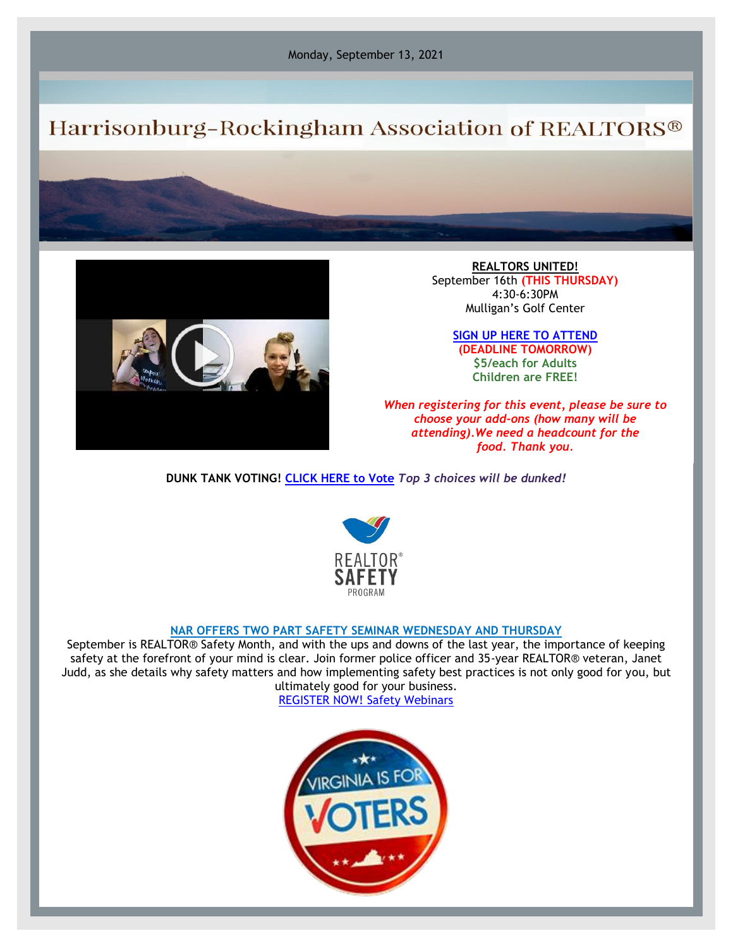Monday, September 13, 2021

## Harrisonburg-Rockingham Association of REALTORS®



**REALTORS UNITED!** September 16th **(THIS THURSDAY)** 4:30-6:30PM Mulligan's Golf Center

> **[SIGN UP HERE TO ATTEND](https://hrar.getlamps.net/CalendarEvents/Main) (DEADLINE TOMORROW) \$5/each for Adults Children are FREE!**

*When registering for this event, please be sure to choose your add-ons (how many will be attending).We need a headcount for the food. Thank you.*

**DUNK TANK VOTING! [CLICK HERE to Vote](https://www.surveymonkey.com/r/3VRGXBQ)** *Top 3 choices will be dunked!*



## **NAR OFFERS TWO PART SAFETY SEMINAR WEDNESDAY AND THURSDAY**

September is REALTOR® Safety Month, and with the ups and downs of the last year, the importance of keeping safety at the forefront of your mind is clear. Join former police officer and 35-year REALTOR® veteran, Janet Judd, as she details why safety matters and how implementing safety best practices is not only good for you, but ultimately good for your business.

[REGISTER NOW! Safety Webinars](https://www.nar.realtor/safety/safety-webinars?AdobeAnalytics=ed_rid%3D3341728%26om_mid%3D5154%7CNew%202021%20Realtor%20Safety%20Month%20AEs%26om_nytpe%3DCEO%20UPDATE%20(formerly%20factsheet)&cid=em_SF-WN-1688)